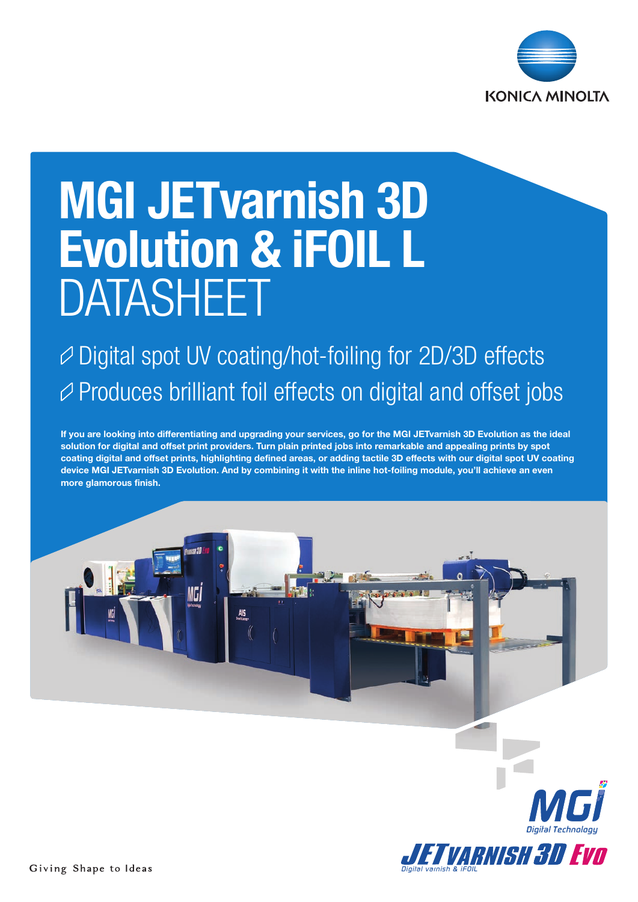

# MGI JETvarnish 3D Evolution & iFOIL L DATASHEET

### $\varnothing$  Digital spot UV coating/hot-foiling for 2D/3D effects  $\varnothing$  Produces brilliant foil effects on digital and offset jobs

If you are looking into differentiating and upgrading your services, go for the MGI JETvarnish 3D Evolution as the ideal solution for digital and offset print providers. Turn plain printed jobs into remarkable and appealing prints by spot coating digital and offset prints, highlighting defined areas, or adding tactile 3D effects with our digital spot UV coating device MGI JETvarnish 3D Evolution. And by combining it with the inline hot-foiling module, you'll achieve an even more glamorous finish.



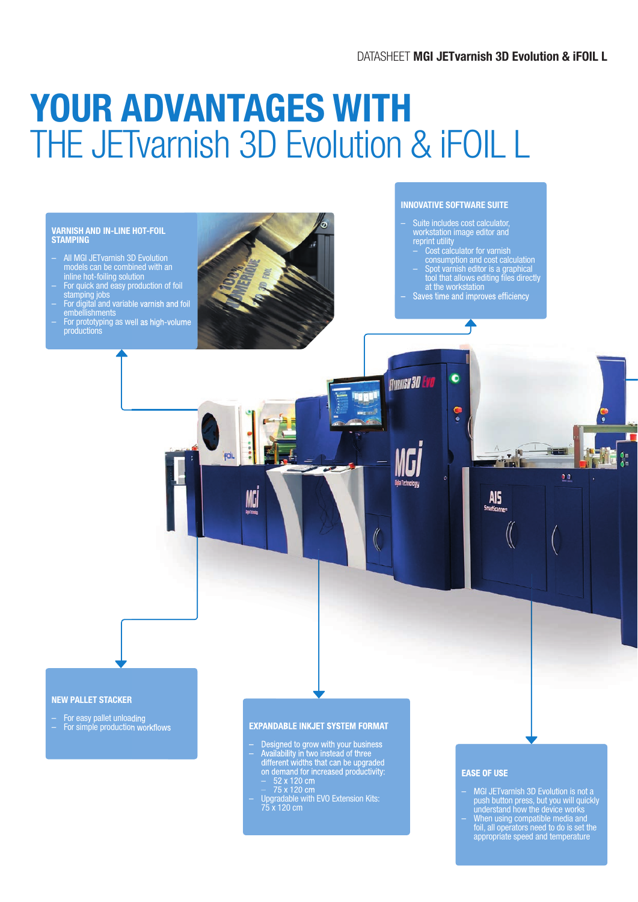## YOUR ADVANTAGES WITH THE JETvarnish 3D Evolution & iFOIL L

#### VARNISH AND IN-LINE HOT-FOIL **STAMPING**

- All MGI JETvarnish 3D Evolution models can be combined with an inline hot-foiling solution
- For quick and easy production of foil stamping jobs
- For digital and variable varnish and foil embellishments
- For prototyping as well as high-volume productions



FOIL

NGİ

#### INNOVATIVE SOFTWARE SUITE

- Suite includes cost calculator,<br>workstation image editor and workstation image editor and reprint utility – Cost calculator for varnish
- consumption and cost calculation – Spot varnish editor is a graphical tool that allows editing files directly at the workstation
- Saves time and improves efficiency

 $\blacktriangleleft$ 

 $\bullet$ 

ę.

REG

 $\bullet$ 

AIS

**THEFT** 

F El

 $0<sup>0</sup>$ 

 $\frac{6}{6}$ 

 $\frac{1}{2}$ 

ПI

**FINANISH 30 EVO** 

#### NEW PALLET STACKER

- For easy pallet unloading
- For simple production workflows

#### EXPANDABLE INKJET SYSTEM FORMAT

- Designed to grow with your business – Availability in two instead of three
- different widths that can be upgraded on demand for increased productivity:  $-52 \times 120 \text{ cm}$  $-75 \times 120 \text{ cm}$
- Upgradable with EVO Extension Kits: 75 x 120 cm

#### EASE OF USE

- MGI JETvarnish 3D Evolution is not a push button press, but you will quickly understand how the device works
- When using compatible media and foil, all operators need to do is set the appropriate speed and temperature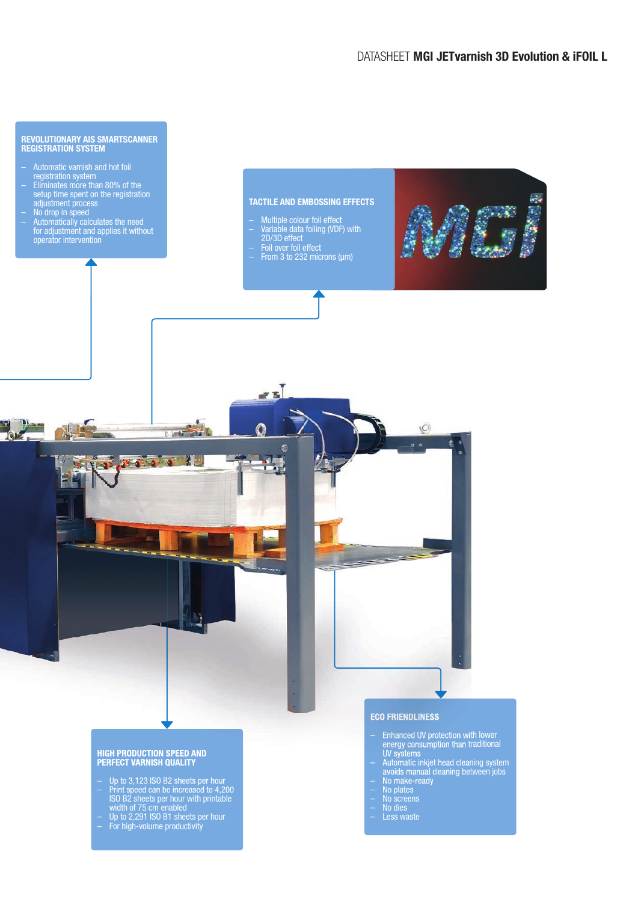

#### HIGH PRODUCTION SPEED AND PERFECT VARNISH QUALITY

- Up to 3,123 ISO B2 sheets per hour
- Print speed can be increased to 4,200 ISO B2 sheets per hour with printable width of 75 cm enabled
- Up to 2,291 ISO B1 sheets per hour – For high-volume productivity
- Enhanced UV protection with lower energy consumption than traditional UV systems
- Automatic inkjet head cleaning system avoids manual cleaning between jobs – No make-ready
- No plates
- No screens
- No dies
- Less waste